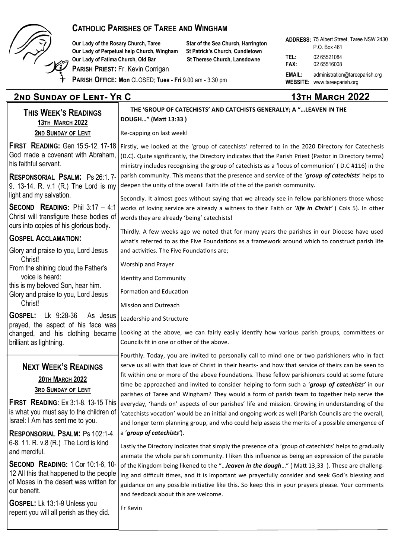

### **CATHOLIC PARISHES OF TAREE AND WINGHAM**

**Our Lady of the Rosary Church, Taree Star of the Sea Church, Harrington Our Lady of Perpetual help Church, Wingham St Patrick's Church, Cundletown Our Lady of Fatima Church, Old Bar St Therese Church, Lansdowne** 

**PARISH PRIEST:** Fr. Kevin Corrigan

**2nd Sunday of Lent- Yr C 13th March 2022**

**ADDRESS:**  75 Albert Street, Taree NSW 2430 **TEL:** 02 65521084 **FAX:** 02 65516008 **EMAIL:** administration@tareeparish.org **WEBSITE:** www.tareeparish.org P.O. Box 461

#### **PARISH OFFICE: Mon** CLOSED; **Tues** - **Fri** 9.00 am - 3.30 pm

#### **THIS WEEK'S READINGS 13TH MARCH 2022 2ND SUNDAY OF LENT FIRST READING:** Gen 15:5-12. 17-18 God made a covenant with Abraham, his faithful servant. **RESPONSORIAL PSALM:** Ps 26:1. 7- 9. 13-14. R. v.1 (R.) The Lord is my light and my salvation. **SECOND READING:** Phil 3:17 – 4:1 Christ will transfigure these bodies of ours into copies of his glorious body. **GOSPEL ACCLAMATION:** Glory and praise to you, Lord Jesus Christ! From the shining cloud the Father's voice is heard: this is my beloved Son, hear him. Glory and praise to you, Lord Jesus Christ! **GOSPEL:** Lk 9:28-36 As Jesus prayed, the aspect of his face was changed, and his clothing became brilliant as lightning. **NEXT WEEK'S READINGS 20TH MARCH 2022 3RD SUNDAY OF LENT FIRST READING:** Ex 3:1-8. 13-15 This is what you must say to the children of Israel: I Am has sent me to you. **RESPONSORIAL PSALM:** Ps 102:1-4. 6-8. 11. R. v.8 (R.) The Lord is kind and merciful. **SECOND READING:** 1 Cor 10:1-6, 10- 12 All this that happened to the people of Moses in the desert was written for our benefit. **GOSPEL:** Lk 13:1-9 Unless you repent you will all perish as they did.  **THE 'GROUP OF CATECHISTS' AND CATCHISTS GENERALLY; A "…LEAVEN IN THE DOUGH…" (Matt 13:33 )** Re-capping on last week! Firstly, we looked at the 'group of catechists' referred to in the 2020 Directory for Catechesis (D.C). Quite significantly, the Directory indicates that the Parish Priest (Pastor in Directory terms) ministry includes recognising the group of catechists as a 'locus of communion' ( D.C #116) in the parish community. This means that the presence and service of the '*group of catechists*' helps to deepen the unity of the overall Faith life of the of the parish community. Secondly. It almost goes without saying that we already see in fellow parishioners those whose works of loving service are already a witness to their Faith or '*life in Christ'* ( Cols 5). In other words they are already 'being' catechists! Thirdly. A few weeks ago we noted that for many years the parishes in our Diocese have used what's referred to as the Five Foundations as a framework around which to construct parish life and activities. The Five Foundations are; Worship and Prayer Identity and Community Formation and Education Mission and Outreach Leadership and Structure Looking at the above, we can fairly easily identify how various parish groups, committees or Councils fit in one or other of the above. Fourthly. Today, you are invited to personally call to mind one or two parishioners who in fact serve us all with that love of Christ in their hearts- and how that service of theirs can be seen to fit within one or more of the above Foundations. These fellow parishioners could at some future time be approached and invited to consider helping to form such a '*group of catechists'* in our parishes of Taree and Wingham? They would a form of parish team to together help serve the everyday, 'hands on' aspects of our parishes' life and mission. Growing in understanding of the 'catechists vocation' would be an initial and ongoing work as well (Parish Councils are the overall, and longer term planning group, and who could help assess the merits of a possible emergence of a '*group of catechists'*). Lastly the Directory indicates that simply the presence of a 'group of catechists' helps to gradually animate the whole parish community. I liken this influence as being an expression of the parable of the Kingdom being likened to the "…*leaven in the dough*…" ( Matt 13;33 ). These are challenging and difficult times, and it is important we prayerfully consider and seek God's blessing and guidance on any possible initiative like this. So keep this in your prayers please. Your comments and feedback about this are welcome. Fr Kevin